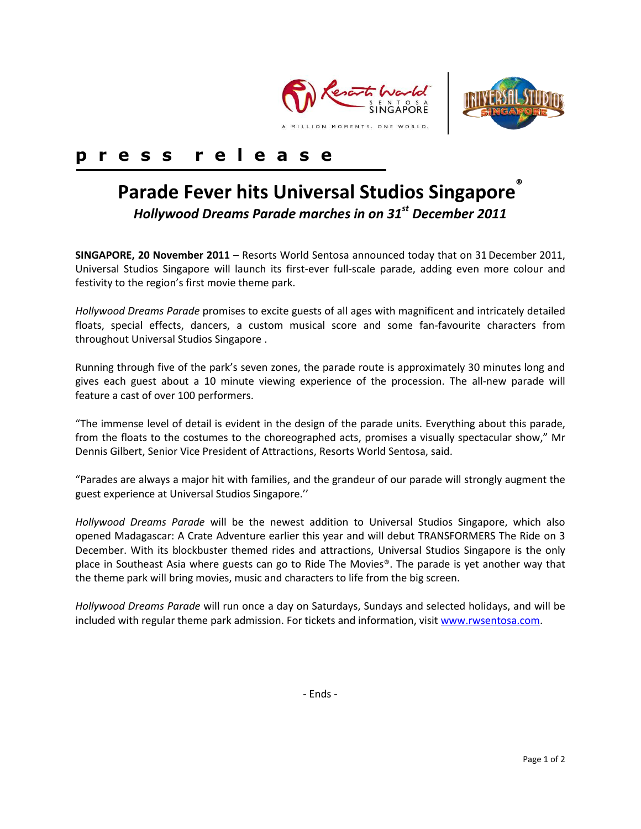



## **p r e s s r e l e a s e**

# **Parade Fever hits Universal Studios Singapore**®

*Hollywood Dreams Parade marches in on 31 st December 2011*

**SINGAPORE, 20 November 2011** – Resorts World Sentosa announced today that on 31December 2011, Universal Studios Singapore will launch its first-ever full-scale parade, adding even more colour and festivity to the region's first movie theme park.

*Hollywood Dreams Parade* promises to excite guests of all ages with magnificent and intricately detailed floats, special effects, dancers, a custom musical score and some fan-favourite characters from throughout Universal Studios Singapore .

Running through five of the park's seven zones, the parade route is approximately 30 minutes long and gives each guest about a 10 minute viewing experience of the procession. The all-new parade will feature a cast of over 100 performers.

"The immense level of detail is evident in the design of the parade units. Everything about this parade, from the floats to the costumes to the choreographed acts, promises a visually spectacular show," Mr Dennis Gilbert, Senior Vice President of Attractions, Resorts World Sentosa, said.

"Parades are always a major hit with families, and the grandeur of our parade will strongly augment the guest experience at Universal Studios Singapore.''

*Hollywood Dreams Parade* will be the newest addition to Universal Studios Singapore, which also opened Madagascar: A Crate Adventure earlier this year and will debut TRANSFORMERS The Ride on 3 December. With its blockbuster themed rides and attractions, Universal Studios Singapore is the only place in Southeast Asia where guests can go to Ride The Movies®. The parade is yet another way that the theme park will bring movies, music and characters to life from the big screen.

*Hollywood Dreams Parade* will run once a day on Saturdays, Sundays and selected holidays, and will be included with regular theme park admission. For tickets and information, visit [www.rwsentosa.com.](http://www.rwsentosa.com/)

- Ends -